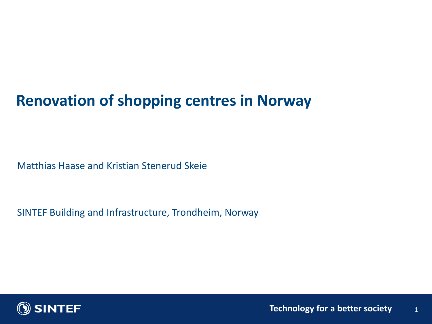### **Renovation of shopping centres in Norway**

Matthias Haase and Kristian Stenerud Skeie

SINTEF Building and Infrastructure, Trondheim, Norway

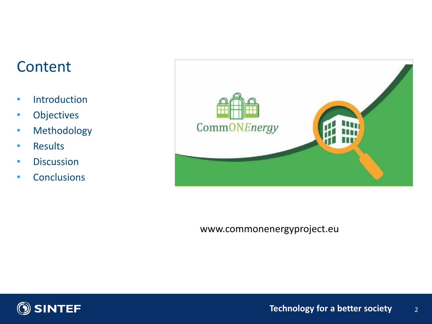### **Content**

- Introduction
- Objectives
- Methodology
- Results
- Discussion
- Conclusions



www.commonenergyproject.eu

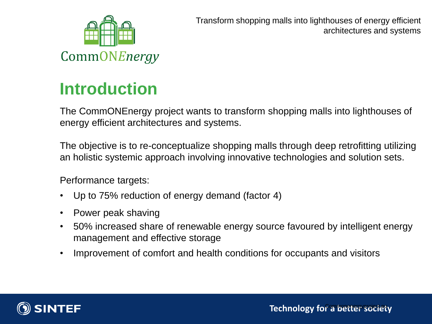

Transform shopping malls into lighthouses of energy efficient architectures and systems

# **Introduction**

The CommONEnergy project wants to transform shopping malls into lighthouses of energy efficient architectures and systems.

The objective is to re-conceptualize shopping malls through deep retrofitting utilizing an holistic systemic approach involving innovative technologies and solution sets.

Performance targets:

- Up to 75% reduction of energy demand (factor 4)
- Power peak shaving
- 50% increased share of renewable energy source favoured by intelligent energy management and effective storage
- Improvement of comfort and health conditions for occupants and visitors

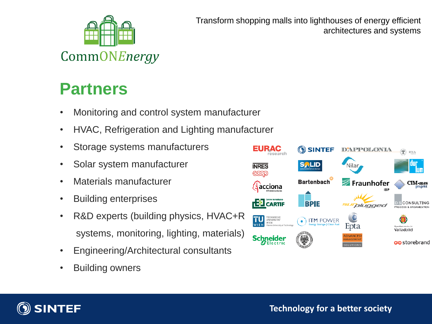

Transform shopping malls into lighthouses of energy efficient architectures and systems

### **Partners**

- Monitoring and control system manufacturer
- HVAC, Refrigeration and Lighting manufacturer
- Storage systems manufacturers
- Solar system manufacturer
- Materials manufacturer
- Building enterprises
- R&D experts (building physics, HVAC+R systems, monitoring, lighting, materials)
- Engineering/Architectural consultants
- Building owners



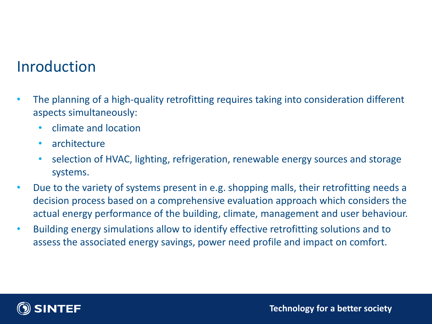### Inroduction

- The planning of a high-quality retrofitting requires taking into consideration different aspects simultaneously:
	- climate and location
	- architecture
	- selection of HVAC, lighting, refrigeration, renewable energy sources and storage systems.
- Due to the variety of systems present in e.g. shopping malls, their retrofitting needs a decision process based on a comprehensive evaluation approach which considers the actual energy performance of the building, climate, management and user behaviour.
- Building energy simulations allow to identify effective retrofitting solutions and to assess the associated energy savings, power need profile and impact on comfort.

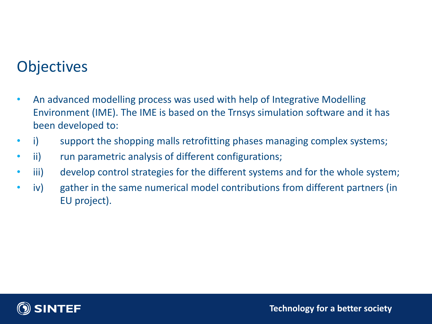### **Objectives**

- An advanced modelling process was used with help of Integrative Modelling Environment (IME). The IME is based on the Trnsys simulation software and it has been developed to:
- i) support the shopping malls retrofitting phases managing complex systems;
- ii) run parametric analysis of different configurations;
- iii) develop control strategies for the different systems and for the whole system;
- iv) gather in the same numerical model contributions from different partners (in EU project).

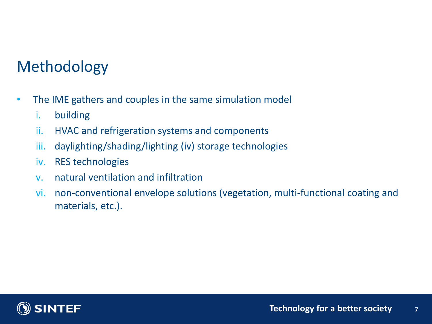### Methodology

- The IME gathers and couples in the same simulation model
	- i. building
	- ii. HVAC and refrigeration systems and components
	- iii. daylighting/shading/lighting (iv) storage technologies
	- iv. RES technologies
	- v. natural ventilation and infiltration
	- vi. non-conventional envelope solutions (vegetation, multi-functional coating and materials, etc.).

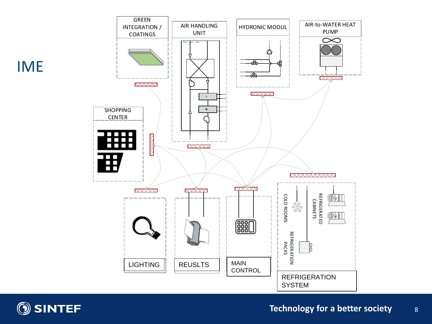



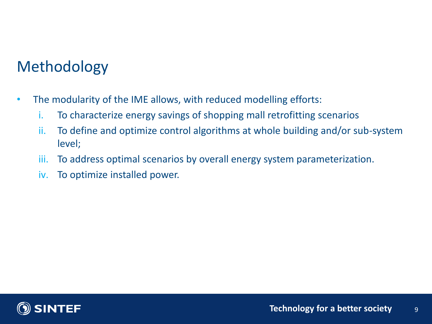### Methodology

- The modularity of the IME allows, with reduced modelling efforts:
	- i. To characterize energy savings of shopping mall retrofitting scenarios
	- ii. To define and optimize control algorithms at whole building and/or sub-system level;
	- iii. To address optimal scenarios by overall energy system parameterization.
	- iv. To optimize installed power.

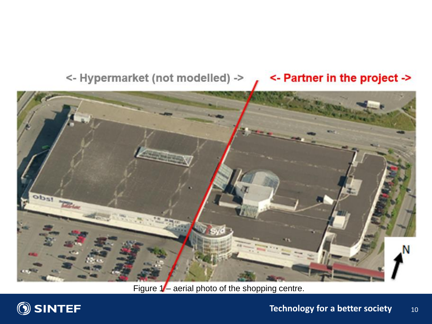### <- Partner in the project -> <- Hypermarket (not modelled) ->



Figure 1- aerial photo of the shopping centre.

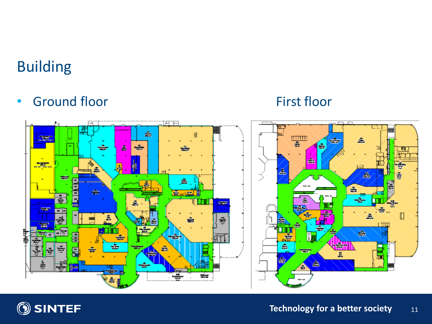## Building

• Ground floor First floor



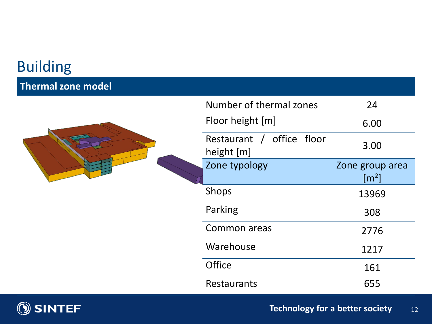### Building

### **Thermal zone model**

|  | Number of thermal zones                 | 24                                     |
|--|-----------------------------------------|----------------------------------------|
|  | Floor height [m]                        | 6.00                                   |
|  | Restaurant / office floor<br>height [m] | 3.00                                   |
|  | Zone typology                           | Zone group area<br>$\lceil m^2 \rceil$ |
|  | Shops                                   | 13969                                  |
|  | Parking                                 | 308                                    |
|  | Common areas                            | 2776                                   |
|  | Warehouse                               | 1217                                   |
|  | <b>Office</b>                           | 161                                    |
|  | Restaurants                             | 655                                    |

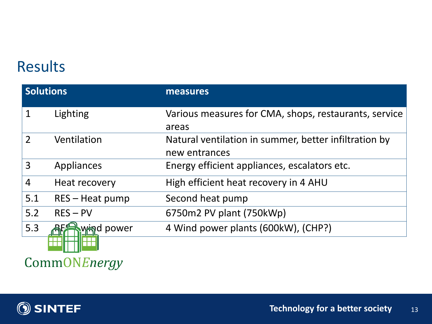### Results

| <b>Solutions</b> |                   | measures                                                               |
|------------------|-------------------|------------------------------------------------------------------------|
|                  | Lighting          | Various measures for CMA, shops, restaurants, service<br>areas         |
| $\overline{2}$   | Ventilation       | Natural ventilation in summer, better infiltration by<br>new entrances |
| 3                | Appliances        | Energy efficient appliances, escalators etc.                           |
| $\overline{4}$   | Heat recovery     | High efficient heat recovery in 4 AHU                                  |
| 5.1              | $RES - Heat pump$ | Second heat pump                                                       |
| 5.2              | $RES - PV$        | 6750m2 PV plant (750kWp)                                               |
| 5.3              | d power<br>∧⁄≒จา  | 4 Wind power plants (600kW), (CHP?)                                    |

CommONEnergy

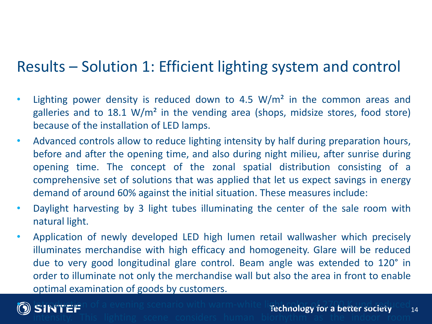### Results – Solution 1: Efficient lighting system and control

- Lighting power density is reduced down to 4.5  $W/m<sup>2</sup>$  in the common areas and galleries and to 18.1 W/m<sup>2</sup> in the vending area (shops, midsize stores, food store) because of the installation of LED lamps.
- Advanced controls allow to reduce lighting intensity by half during preparation hours, before and after the opening time, and also during night milieu, after sunrise during opening time. The concept of the zonal spatial distribution consisting of a comprehensive set of solutions that was applied that let us expect savings in energy demand of around 60% against the initial situation. These measures include:
- Daylight harvesting by 3 light tubes illuminating the center of the sale room with natural light.
- Application of newly developed LED high lumen retail wallwasher which precisely illuminates merchandise with high efficacy and homogeneity. Glare will be reduced due to very good longitudinal glare control. Beam angle was extended to 120° in order to illuminate not only the merchandise wall but also the area in front to enable optimal examination of goods by customers.



**O** SINTEP of a evening scenario with warm-white light color of 2700 K und reduced 14 intensity. This lighting scene considers human biorhythm as the indoor room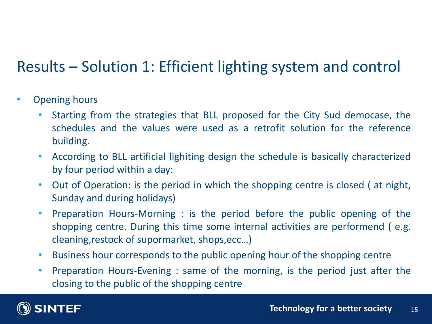## Results – Solution 1: Efficient lighting system and control

- Opening hours
	- Starting from the strategies that BLL proposed for the City Sud democase, the schedules and the values were used as a retrofit solution for the reference building.
	- According to BLL artificial lighiting design the schedule is basically characterized by four period within a day:
	- Out of Operation: is the period in which the shopping centre is closed (at night, Sunday and during holidays)
	- Preparation Hours-Morning : is the period before the public opening of the shopping centre. During this time some internal activities are performend ( e.g. cleaning,restock of supormarket, shops,ecc…)
	- Business hour corresponds to the public opening hour of the shopping centre
	- Preparation Hours-Evening : same of the morning, is the period just after the closing to the public of the shopping centre

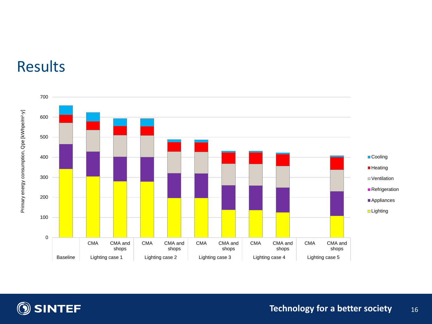



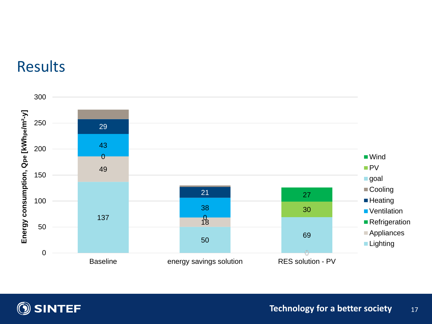### Results



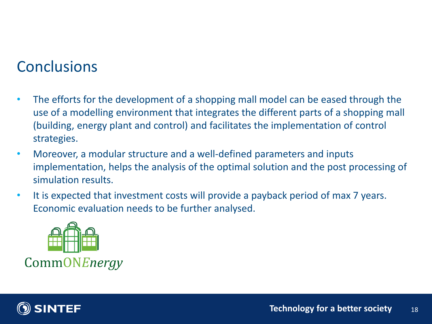### **Conclusions**

- The efforts for the development of a shopping mall model can be eased through the use of a modelling environment that integrates the different parts of a shopping mall (building, energy plant and control) and facilitates the implementation of control strategies.
- Moreover, a modular structure and a well-defined parameters and inputs implementation, helps the analysis of the optimal solution and the post processing of simulation results.
- It is expected that investment costs will provide a payback period of max 7 years. Economic evaluation needs to be further analysed.



CommONEnergy

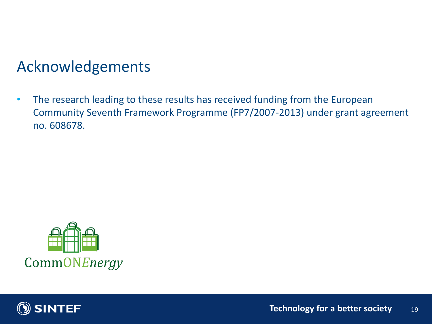### Acknowledgements

• The research leading to these results has received funding from the European Community Seventh Framework Programme (FP7/2007-2013) under grant agreement no. 608678.